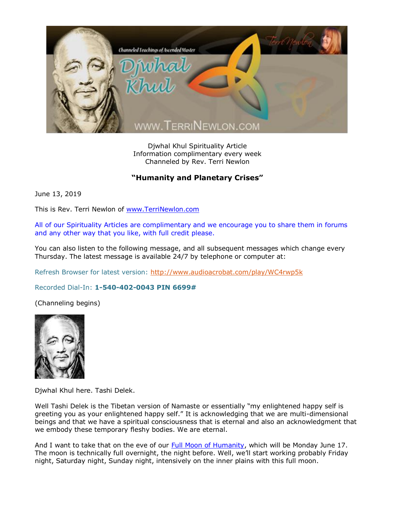

Djwhal Khul Spirituality Article Information complimentary every week Channeled by Rev. Terri Newlon

## **"Humanity and Planetary Crises"**

June 13, 2019

This is Rev. Terri Newlon of [www.TerriNewlon.com](http://www.terrinewlon.com/)

All of our Spirituality Articles are complimentary and we encourage you to share them in forums and any other way that you like, with full credit please.

You can also listen to the following message, and all subsequent messages which change every Thursday. The latest message is available 24/7 by telephone or computer at:

Refresh Browser for latest version:<http://www.audioacrobat.com/play/WC4rwp5k>

Recorded Dial-In: **1-540-402-0043 PIN 6699#**

(Channeling begins)



Djwhal Khul here. Tashi Delek.

Well Tashi Delek is the Tibetan version of Namaste or essentially "my enlightened happy self is greeting you as your enlightened happy self." It is acknowledging that we are multi-dimensional beings and that we have a spiritual consciousness that is eternal and also an acknowledgment that we embody these temporary fleshy bodies. We are eternal.

And I want to take that on the eve of our [Full Moon of Humanity,](http://www.terrinewlon.com/telecourses.php) which will be Monday June 17. The moon is technically full overnight, the night before. Well, we'll start working probably Friday night, Saturday night, Sunday night, intensively on the inner plains with this full moon.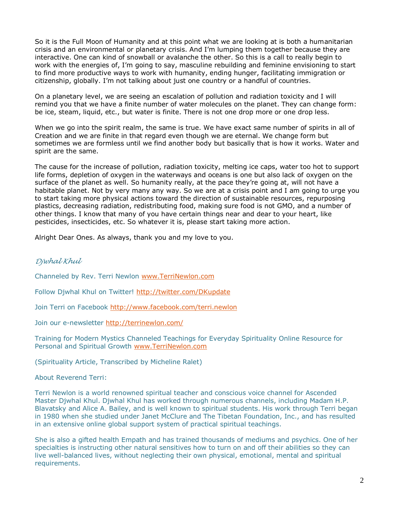So it is the Full Moon of Humanity and at this point what we are looking at is both a humanitarian crisis and an environmental or planetary crisis. And I'm lumping them together because they are interactive. One can kind of snowball or avalanche the other. So this is a call to really begin to work with the energies of, I'm going to say, masculine rebuilding and feminine envisioning to start to find more productive ways to work with humanity, ending hunger, facilitating immigration or citizenship, globally. I'm not talking about just one country or a handful of countries.

On a planetary level, we are seeing an escalation of pollution and radiation toxicity and I will remind you that we have a finite number of water molecules on the planet. They can change form: be ice, steam, liquid, etc., but water is finite. There is not one drop more or one drop less.

When we go into the spirit realm, the same is true. We have exact same number of spirits in all of Creation and we are finite in that regard even though we are eternal. We change form but sometimes we are formless until we find another body but basically that is how it works. Water and spirit are the same.

The cause for the increase of pollution, radiation toxicity, melting ice caps, water too hot to support life forms, depletion of oxygen in the waterways and oceans is one but also lack of oxygen on the surface of the planet as well. So humanity really, at the pace they're going at, will not have a habitable planet. Not by very many any way. So we are at a crisis point and I am going to urge you to start taking more physical actions toward the direction of sustainable resources, repurposing plastics, decreasing radiation, redistributing food, making sure food is not GMO, and a number of other things. I know that many of you have certain things near and dear to your heart, like pesticides, insecticides, etc. So whatever it is, please start taking more action.

Alright Dear Ones. As always, thank you and my love to you.

## *Djwhal Khul*

Channeled by Rev. Terri Newlon [www.TerriNewlon.com](http://www.terrinewlon.com/)

Follow Djwhal Khul on Twitter!<http://twitter.com/DKupdate>

Join Terri on Facebook<http://www.facebook.com/terri.newlon>

Join our e-newsletter<http://terrinewlon.com/>

Training for Modern Mystics Channeled Teachings for Everyday Spirituality Online Resource for Personal and Spiritual Growth [www.TerriNewlon.com](http://www.terrinewlon.com/)

(Spirituality Article, Transcribed by Micheline Ralet)

About Reverend Terri:

Terri Newlon is a world renowned spiritual teacher and conscious voice channel for Ascended Master Djwhal Khul. Djwhal Khul has worked through numerous channels, including Madam H.P. Blavatsky and Alice A. Bailey, and is well known to spiritual students. His work through Terri began in 1980 when she studied under Janet McClure and The Tibetan Foundation, Inc., and has resulted in an extensive online global support system of practical spiritual teachings.

She is also a gifted health Empath and has trained thousands of mediums and psychics. One of her specialties is instructing other natural sensitives how to turn on and off their abilities so they can live well-balanced lives, without neglecting their own physical, emotional, mental and spiritual requirements.